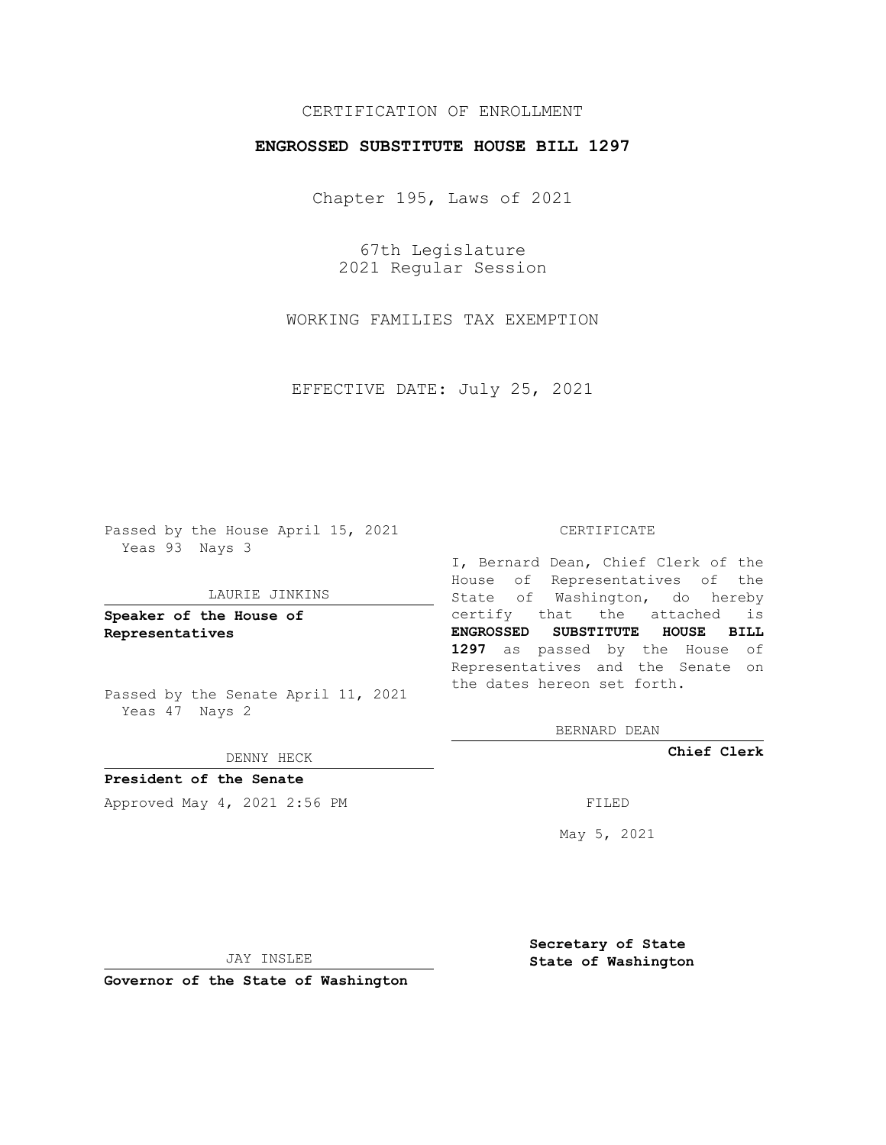## CERTIFICATION OF ENROLLMENT

## **ENGROSSED SUBSTITUTE HOUSE BILL 1297**

Chapter 195, Laws of 2021

67th Legislature 2021 Regular Session

WORKING FAMILIES TAX EXEMPTION

EFFECTIVE DATE: July 25, 2021

Passed by the House April 15, 2021 Yeas 93 Nays 3

#### LAURIE JINKINS

**Speaker of the House of Representatives**

Passed by the Senate April 11, 2021 Yeas 47 Nays 2

#### DENNY HECK

**President of the Senate** Approved May 4, 2021 2:56 PM FILED

#### CERTIFICATE

I, Bernard Dean, Chief Clerk of the House of Representatives of the State of Washington, do hereby certify that the attached is **ENGROSSED SUBSTITUTE HOUSE BILL 1297** as passed by the House of Representatives and the Senate on the dates hereon set forth.

BERNARD DEAN

**Chief Clerk**

May 5, 2021

JAY INSLEE

**Governor of the State of Washington**

**Secretary of State State of Washington**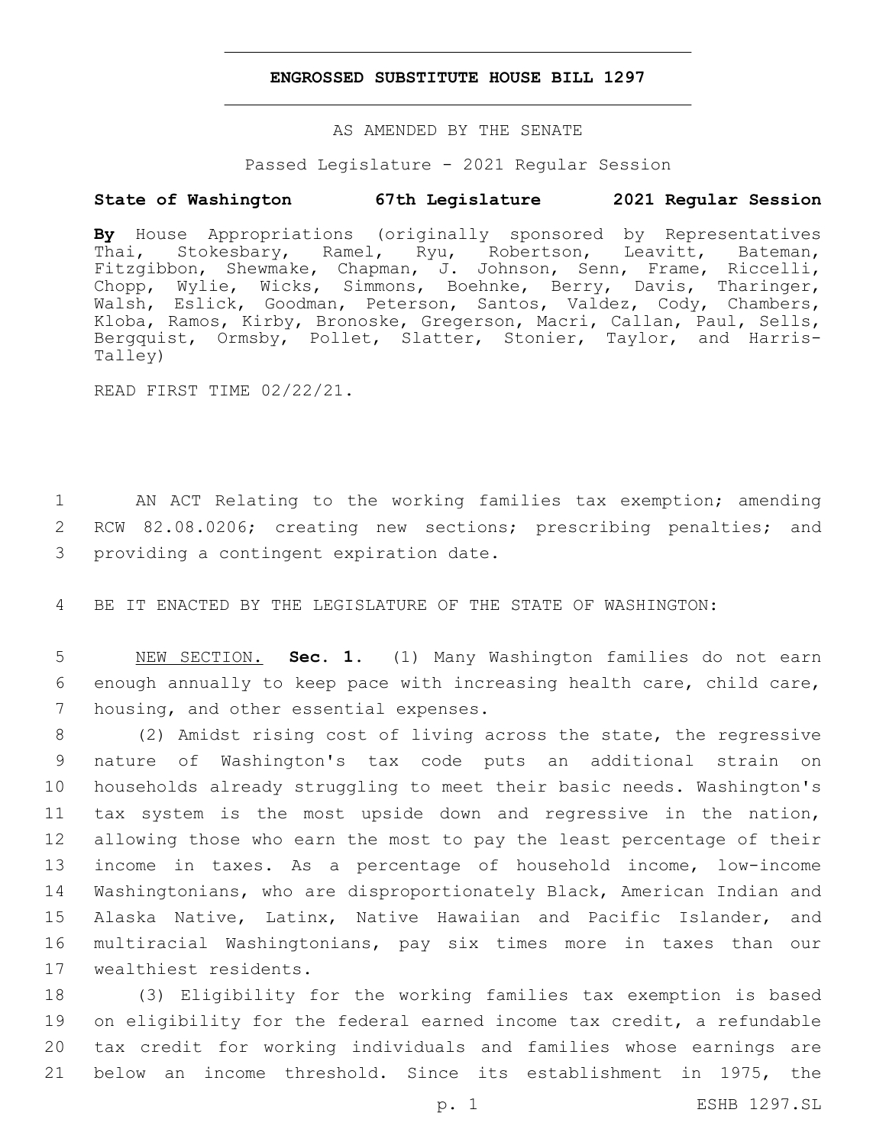### **ENGROSSED SUBSTITUTE HOUSE BILL 1297**

## AS AMENDED BY THE SENATE

Passed Legislature - 2021 Regular Session

## **State of Washington 67th Legislature 2021 Regular Session**

**By** House Appropriations (originally sponsored by Representatives Thai, Stokesbary, Ramel, Ryu, Robertson, Leavitt, Bateman, Fitzgibbon, Shewmake, Chapman, J. Johnson, Senn, Frame, Riccelli, Chopp, Wylie, Wicks, Simmons, Boehnke, Berry, Davis, Tharinger, Walsh, Eslick, Goodman, Peterson, Santos, Valdez, Cody, Chambers, Kloba, Ramos, Kirby, Bronoske, Gregerson, Macri, Callan, Paul, Sells, Bergquist, Ormsby, Pollet, Slatter, Stonier, Taylor, and Harris-Talley)

READ FIRST TIME 02/22/21.

1 AN ACT Relating to the working families tax exemption; amending 2 RCW 82.08.0206; creating new sections; prescribing penalties; and 3 providing a contingent expiration date.

4 BE IT ENACTED BY THE LEGISLATURE OF THE STATE OF WASHINGTON:

5 NEW SECTION. **Sec. 1.** (1) Many Washington families do not earn 6 enough annually to keep pace with increasing health care, child care, 7 housing, and other essential expenses.

 (2) Amidst rising cost of living across the state, the regressive nature of Washington's tax code puts an additional strain on households already struggling to meet their basic needs. Washington's tax system is the most upside down and regressive in the nation, allowing those who earn the most to pay the least percentage of their income in taxes. As a percentage of household income, low-income Washingtonians, who are disproportionately Black, American Indian and Alaska Native, Latinx, Native Hawaiian and Pacific Islander, and multiracial Washingtonians, pay six times more in taxes than our 17 wealthiest residents.

 (3) Eligibility for the working families tax exemption is based on eligibility for the federal earned income tax credit, a refundable tax credit for working individuals and families whose earnings are below an income threshold. Since its establishment in 1975, the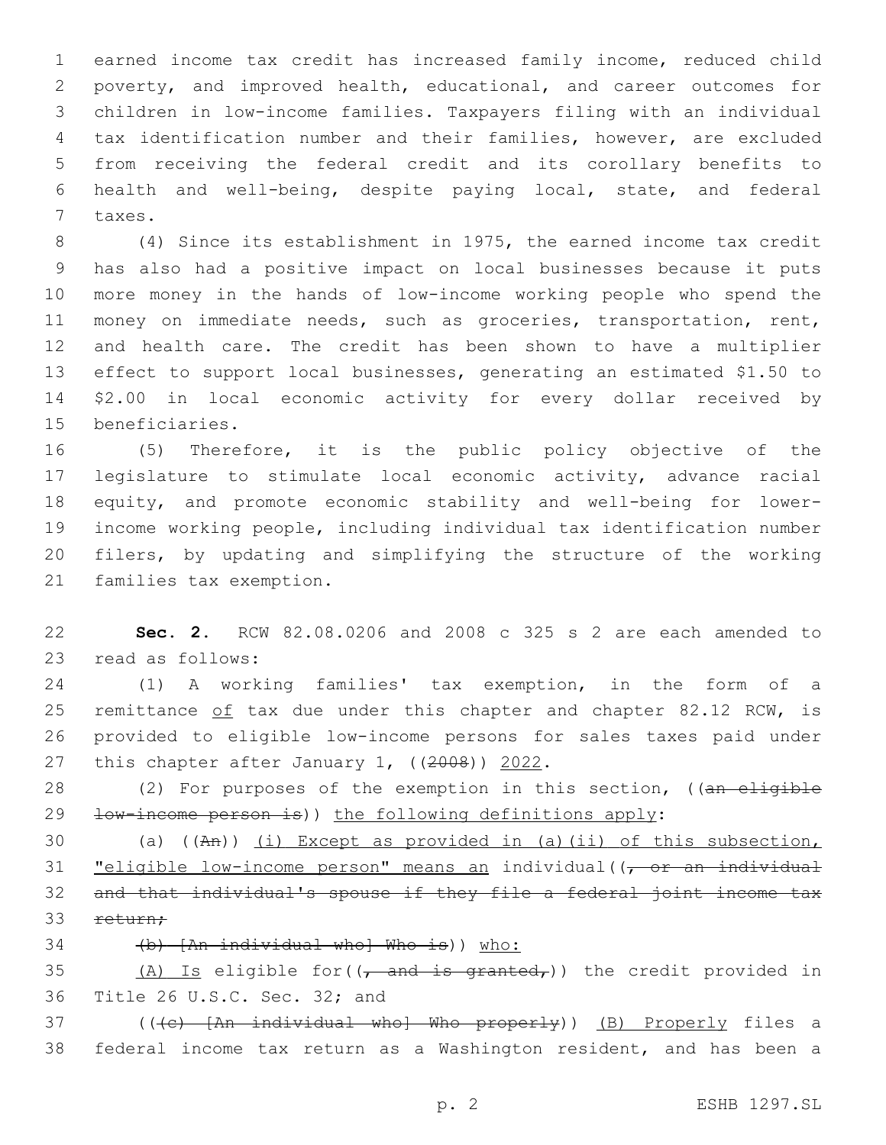earned income tax credit has increased family income, reduced child poverty, and improved health, educational, and career outcomes for children in low-income families. Taxpayers filing with an individual tax identification number and their families, however, are excluded from receiving the federal credit and its corollary benefits to health and well-being, despite paying local, state, and federal 7 taxes.

 (4) Since its establishment in 1975, the earned income tax credit has also had a positive impact on local businesses because it puts more money in the hands of low-income working people who spend the money on immediate needs, such as groceries, transportation, rent, and health care. The credit has been shown to have a multiplier effect to support local businesses, generating an estimated \$1.50 to \$2.00 in local economic activity for every dollar received by 15 beneficiaries.

 (5) Therefore, it is the public policy objective of the legislature to stimulate local economic activity, advance racial equity, and promote economic stability and well-being for lower- income working people, including individual tax identification number filers, by updating and simplifying the structure of the working 21 families tax exemption.

 **Sec. 2.** RCW 82.08.0206 and 2008 c 325 s 2 are each amended to 23 read as follows:

 (1) A working families' tax exemption, in the form of a 25 remittance of tax due under this chapter and chapter 82.12 RCW, is provided to eligible low-income persons for sales taxes paid under 27 this chapter after January 1,  $((2008))$  2022.

28 (2) For purposes of the exemption in this section, ((an eligible 29 <del>low-income person is</del>)) the following definitions apply:

 (a) ((An)) (i) Except as provided in (a)(ii) of this subsection, **"eligible low-income person"** means an individual((, or an individual and that individual's spouse if they file a federal joint income tax 33 return;

(b) [An individual who] Who is)) who:

35  $(A)$  Is eligible for  $((f - and is granted f))$  the credit provided in 36 Title 26 U.S.C. Sec. 32; and

37 (((c) [An individual who] Who properly)) (B) Properly files a federal income tax return as a Washington resident, and has been a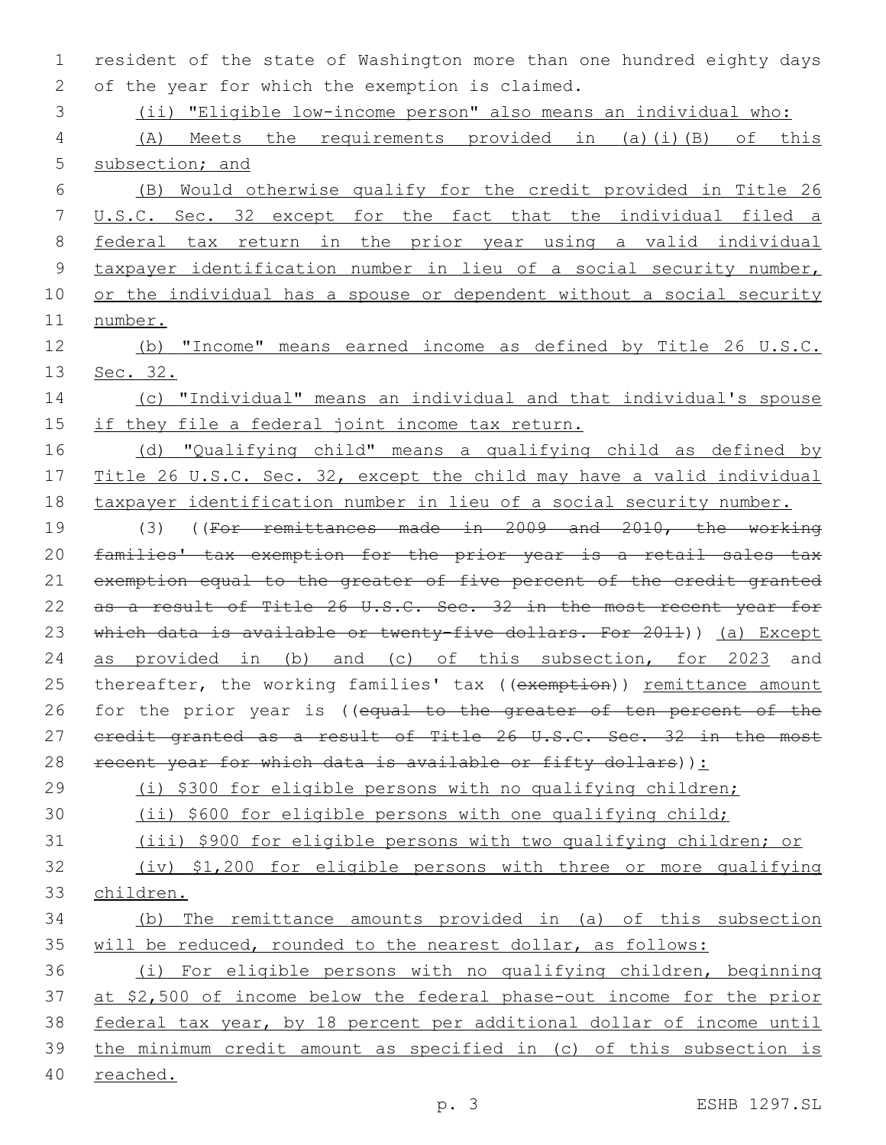resident of the state of Washington more than one hundred eighty days 2 of the year for which the exemption is claimed.

(ii) "Eligible low-income person" also means an individual who:

 (A) Meets the requirements provided in (a)(i)(B) of this 5 subsection; and

 (B) Would otherwise qualify for the credit provided in Title 26 U.S.C. Sec. 32 except for the fact that the individual filed a federal tax return in the prior year using a valid individual 9 taxpayer identification number in lieu of a social security number, 10 or the individual has a spouse or dependent without a social security number.

 (b) "Income" means earned income as defined by Title 26 U.S.C. 13 <u>Sec. 32.</u>

 (c) "Individual" means an individual and that individual's spouse 15 if they file a federal joint income tax return.

 (d) "Qualifying child" means a qualifying child as defined by Title 26 U.S.C. Sec. 32, except the child may have a valid individual taxpayer identification number in lieu of a social security number.

 (3) ((For remittances made in 2009 and 2010, the working families' tax exemption for the prior year is a retail sales tax 21 exemption equal to the greater of five percent of the credit granted 22 as a result of Title 26 U.S.C. Sec. 32 in the most recent year for 23 which data is available or twenty-five dollars. For 2011)) (a) Except 24 as provided in (b) and (c) of this subsection, for 2023 and 25 thereafter, the working families' tax ((exemption)) remittance amount 26 for the prior year is ((equal to the greater of ten percent of the 27 eredit granted as a result of Title 26 U.S.C. Sec. 32 in the most 28 recent year for which data is available or fifty dollars)):

(i) \$300 for eligible persons with no qualifying children;

(ii) \$600 for eligible persons with one qualifying child;

(iii) \$900 for eligible persons with two qualifying children; or

 (iv) \$1,200 for eligible persons with three or more qualifying children.

# (b) The remittance amounts provided in (a) of this subsection will be reduced, rounded to the nearest dollar, as follows:

 (i) For eligible persons with no qualifying children, beginning at \$2,500 of income below the federal phase-out income for the prior federal tax year, by 18 percent per additional dollar of income until the minimum credit amount as specified in (c) of this subsection is reached.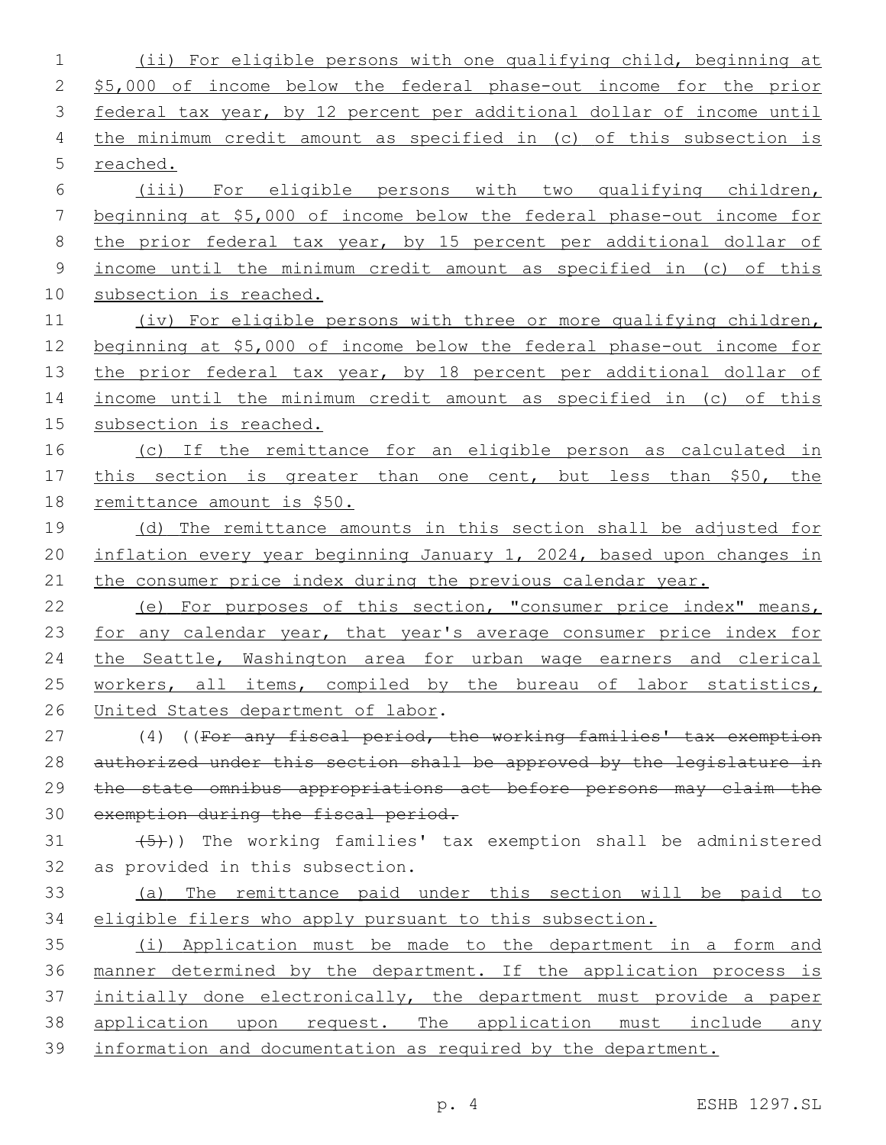(ii) For eligible persons with one qualifying child, beginning at \$5,000 of income below the federal phase-out income for the prior federal tax year, by 12 percent per additional dollar of income until the minimum credit amount as specified in (c) of this subsection is reached. (iii) For eligible persons with two qualifying children, beginning at \$5,000 of income below the federal phase-out income for the prior federal tax year, by 15 percent per additional dollar of income until the minimum credit amount as specified in (c) of this subsection is reached. (iv) For eligible persons with three or more qualifying children, beginning at \$5,000 of income below the federal phase-out income for 13 the prior federal tax year, by 18 percent per additional dollar of income until the minimum credit amount as specified in (c) of this subsection is reached. (c) If the remittance for an eligible person as calculated in 17 this section is greater than one cent, but less than \$50, the remittance amount is \$50. 19 (d) The remittance amounts in this section shall be adjusted for 20 inflation every year beginning January 1, 2024, based upon changes in 21 the consumer price index during the previous calendar year. 22 (e) For purposes of this section, "consumer price index" means, 23 for any calendar year, that year's average consumer price index for 24 the Seattle, Washington area for urban wage earners and clerical 25 workers, all items, compiled by the bureau of labor statistics, 26 United States department of labor. 27 (4) ((For any fiscal period, the working families' tax exemption authorized under this section shall be approved by the legislature in the state omnibus appropriations act before persons may claim the exemption during the fiscal period.  $(31$   $(5)$ )) The working families' tax exemption shall be administered 32 as provided in this subsection. (a) The remittance paid under this section will be paid to eligible filers who apply pursuant to this subsection. (i) Application must be made to the department in a form and manner determined by the department. If the application process is initially done electronically, the department must provide a paper 38 application upon request. The application must include any information and documentation as required by the department.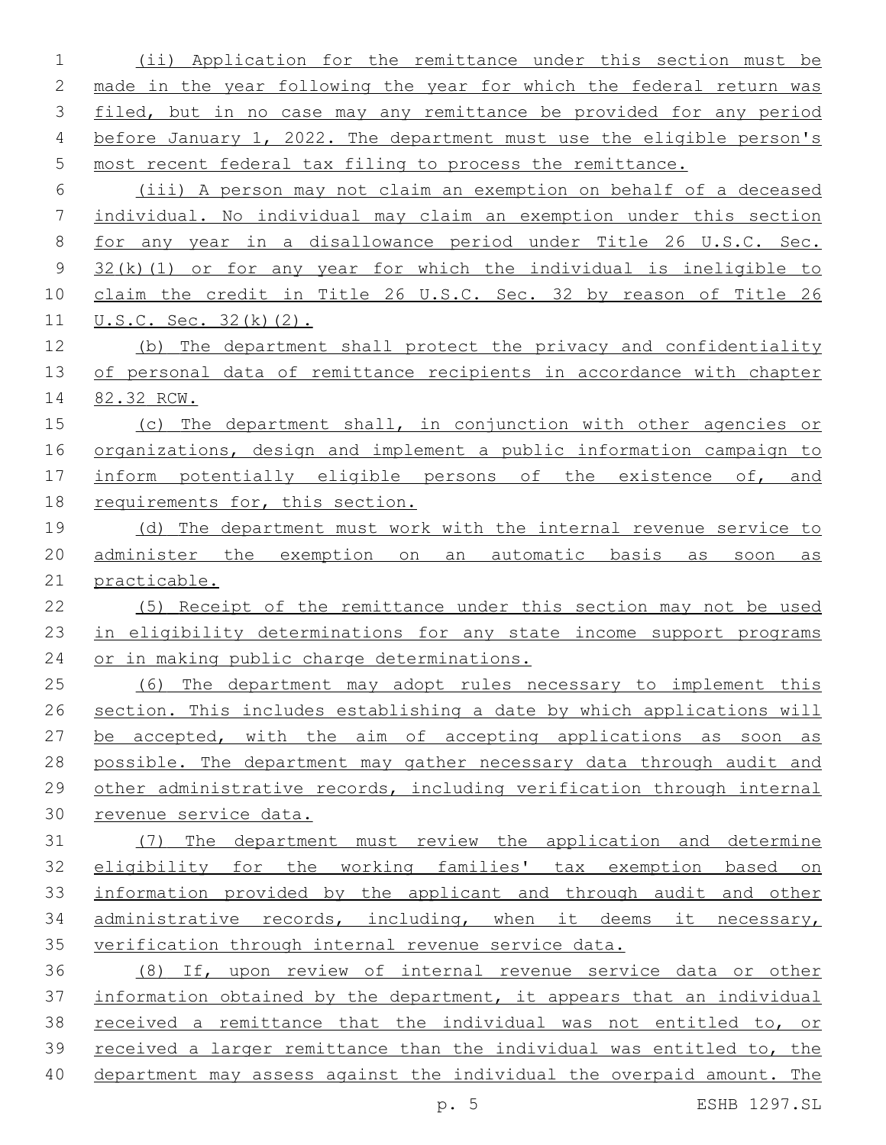(ii) Application for the remittance under this section must be made in the year following the year for which the federal return was 3 filed, but in no case may any remittance be provided for any period before January 1, 2022. The department must use the eligible person's most recent federal tax filing to process the remittance. (iii) A person may not claim an exemption on behalf of a deceased individual. No individual may claim an exemption under this section for any year in a disallowance period under Title 26 U.S.C. Sec. 32(k)(1) or for any year for which the individual is ineligible to claim the credit in Title 26 U.S.C. Sec. 32 by reason of Title 26 **U.S.C.** Sec. 32(k)(2). (b) The department shall protect the privacy and confidentiality of personal data of remittance recipients in accordance with chapter 82.32 RCW. (c) The department shall, in conjunction with other agencies or organizations, design and implement a public information campaign to 17 inform potentially eligible persons of the existence of, and requirements for, this section. (d) The department must work with the internal revenue service to administer the exemption on an automatic basis as soon as practicable. (5) Receipt of the remittance under this section may not be used in eligibility determinations for any state income support programs or in making public charge determinations. (6) The department may adopt rules necessary to implement this section. This includes establishing a date by which applications will be accepted, with the aim of accepting applications as soon as possible. The department may gather necessary data through audit and other administrative records, including verification through internal revenue service data. (7) The department must review the application and determine eligibility for the working families' tax exemption based on information provided by the applicant and through audit and other administrative records, including, when it deems it necessary, verification through internal revenue service data. (8) If, upon review of internal revenue service data or other information obtained by the department, it appears that an individual received a remittance that the individual was not entitled to, or received a larger remittance than the individual was entitled to, the department may assess against the individual the overpaid amount. The

p. 5 ESHB 1297.SL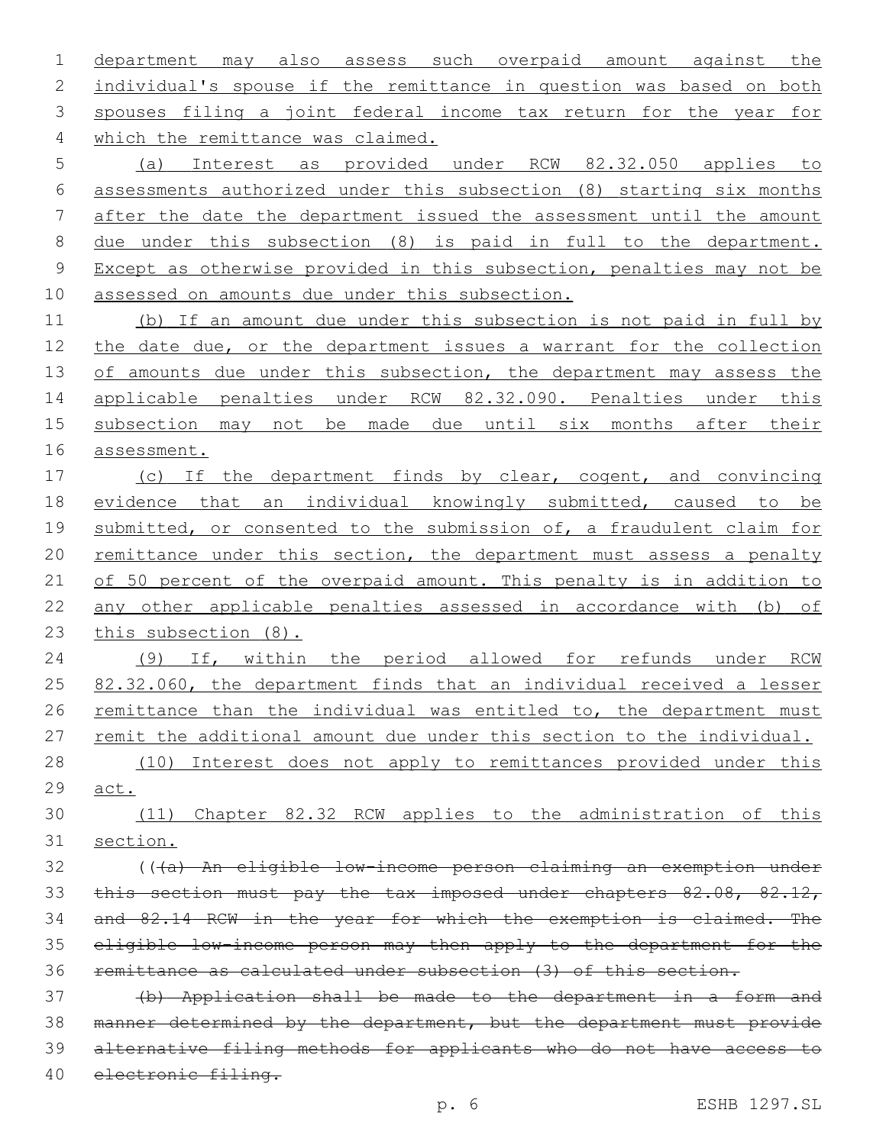department may also assess such overpaid amount against the individual's spouse if the remittance in question was based on both spouses filing a joint federal income tax return for the year for 4 which the remittance was claimed.

 (a) Interest as provided under RCW 82.32.050 applies to assessments authorized under this subsection (8) starting six months after the date the department issued the assessment until the amount due under this subsection (8) is paid in full to the department. Except as otherwise provided in this subsection, penalties may not be assessed on amounts due under this subsection.

 (b) If an amount due under this subsection is not paid in full by 12 the date due, or the department issues a warrant for the collection 13 of amounts due under this subsection, the department may assess the applicable penalties under RCW 82.32.090. Penalties under this subsection may not be made due until six months after their assessment.

 (c) If the department finds by clear, cogent, and convincing evidence that an individual knowingly submitted, caused to be 19 submitted, or consented to the submission of, a fraudulent claim for 20 remittance under this section, the department must assess a penalty 21 of 50 percent of the overpaid amount. This penalty is in addition to any other applicable penalties assessed in accordance with (b) of this subsection (8).

 (9) If, within the period allowed for refunds under RCW 25 82.32.060, the department finds that an individual received a lesser 26 remittance than the individual was entitled to, the department must 27 remit the additional amount due under this section to the individual.

 (10) Interest does not apply to remittances provided under this 29 <u>act</u>.

 (11) Chapter 82.32 RCW applies to the administration of this section.

 (((a) An eligible low-income person claiming an exemption under 33 this section must pay the tax imposed under chapters 82.08, 82.12, and 82.14 RCW in the year for which the exemption is claimed. The eligible low-income person may then apply to the department for the remittance as calculated under subsection (3) of this section.

 (b) Application shall be made to the department in a form and manner determined by the department, but the department must provide alternative filing methods for applicants who do not have access to electronic filing.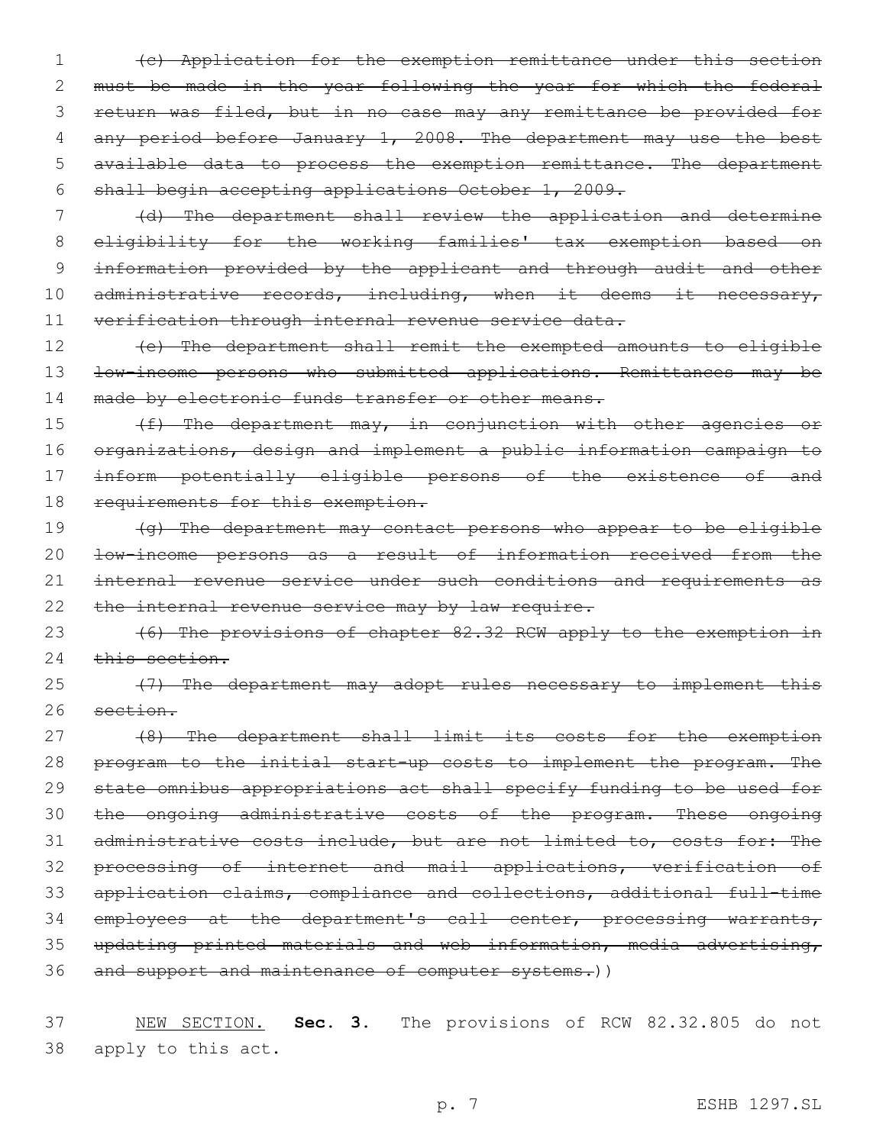1 (c) Application for the exemption remittance under this section 2 must be made in the year following the year for which the federal 3 return was filed, but in no case may any remittance be provided for 4 any period before January 1, 2008. The department may use the best 5 available data to process the exemption remittance. The department 6 shall begin accepting applications October 1, 2009.

7 (d) The department shall review the application and determine 8 eligibility for the working families' tax exemption based on 9 information provided by the applicant and through audit and other 10 administrative records, including, when it deems it necessary, 11 verification through internal revenue service data.

12 (e) The department shall remit the exempted amounts to eligible 13 <del>low-income persons who submitted applications. Remittances may be</del> 14 made by electronic funds transfer or other means.

15 (f) The department may, in conjunction with other agencies or 16 organizations, design and implement a public information campaign to 17 inform potentially eligible persons of the existence of and 18 requirements for this exemption.

19 (g) The department may contact persons who appear to be eligible 20 low-income persons as a result of information received from the 21 internal revenue service under such conditions and requirements as 22 the internal revenue service may by law require.

23 (6) The provisions of chapter 82.32 RCW apply to the exemption in 24 this section.

25 (7) The department may adopt rules necessary to implement this 26 section.

 (8) The department shall limit its costs for the exemption 28 program to the initial start-up costs to implement the program. The state omnibus appropriations act shall specify funding to be used for the ongoing administrative costs of the program. These ongoing administrative costs include, but are not limited to, costs for: The processing of internet and mail applications, verification of application claims, compliance and collections, additional full-time 34 employees at the department's call center, processing warrants, updating printed materials and web information, media advertising, 36 and support and maintenance of computer systems.))

37 NEW SECTION. **Sec. 3.** The provisions of RCW 82.32.805 do not 38 apply to this act.